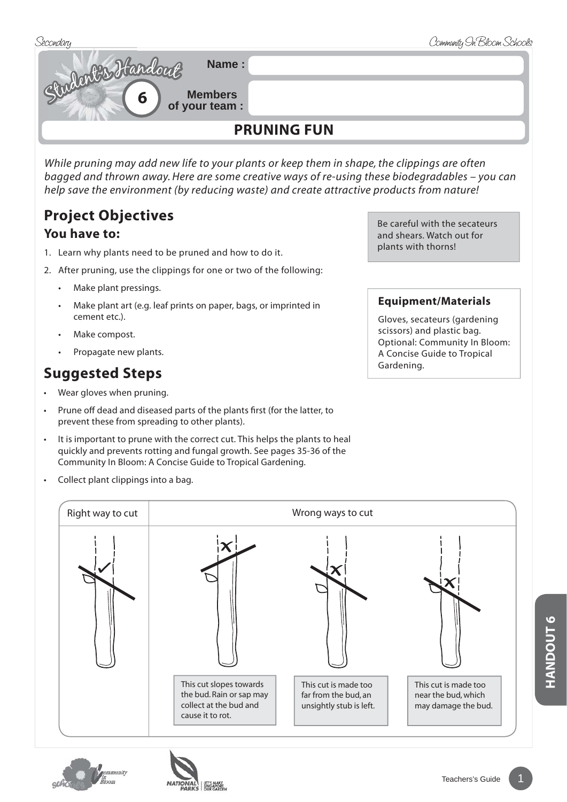

*While pruning may add new life to your plants or keep them in shape, the clippings are often bagged and thrown away. Here are some creative ways of re-using these biodegradables – you can help save the environment (by reducing waste) and create attractive products from nature!* 

## **Project Objectives You have to:**

- 1. Learn why plants need to be pruned and how to do it.
- 2. After pruning, use the clippings for one or two of the following:
	- Make plant pressings.
	- Make plant art (e.g. leaf prints on paper, bags, or imprinted in cement etc.).
	- Make compost.
	- Propagate new plants.

## Suggested Steps **Suggested Steps Cardening.**

- Wear gloves when pruning.
- Prune off dead and diseased parts of the plants first (for the latter, to prevent these from spreading to other plants).
- It is important to prune with the correct cut. This helps the plants to heal quickly and prevents rotting and fungal growth. See pages 35-36 of the Community In Bloom: A Concise Guide to Tropical Gardening.
- Collect plant clippings into a bag.

This cut slopes towards the bud. Rain or sap may collect at the bud and cause it to rot. This cut is made too far from the bud, an unsightly stub is left. This cut is made too near the bud, which may damage the bud. Right way to cut a state of the Mrong ways to cut Right way to cut





Be careful with the secateurs and shears. Watch out for plants with thorns!

## **Equipment/Materials**

Gloves, secateurs (gardening scissors) and plastic bag. Optional: Community In Bloom: A Concise Guide to Tropical